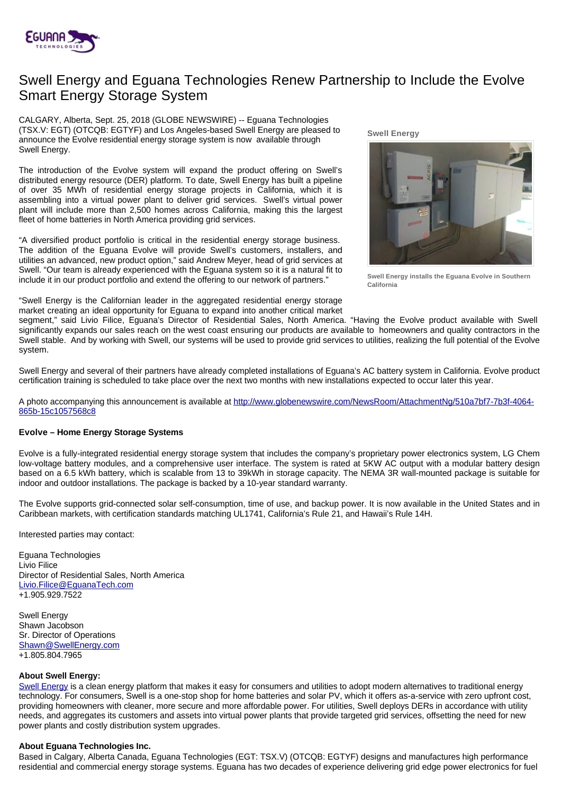

# Swell Energy and Eguana Technologies Renew Partnership to Include the Evolve Smart Energy Storage System

CALGARY, Alberta, Sept. 25, 2018 (GLOBE NEWSWIRE) -- Eguana Technologies (TSX.V: EGT) (OTCQB: EGTYF) and Los Angeles-based Swell Energy are pleased to announce the Evolve residential energy storage system is now available through Swell Energy.

The introduction of the Evolve system will expand the product offering on Swell's distributed energy resource (DER) platform. To date, Swell Energy has built a pipeline of over 35 MWh of residential energy storage projects in California, which it is assembling into a virtual power plant to deliver grid services. Swell's virtual power plant will include more than 2,500 homes across California, making this the largest fleet of home batteries in North America providing grid services.

"A diversified product portfolio is critical in the residential energy storage business. The addition of the Eguana Evolve will provide Swell's customers, installers, and utilities an advanced, new product option," said Andrew Meyer, head of grid services at Swell. "Our team is already experienced with the Eguana system so it is a natural fit to include it in our product portfolio and extend the offering to our network of partners."

"Swell Energy is the Californian leader in the aggregated residential energy storage market creating an ideal opportunity for Eguana to expand into another critical market **Swell Energy**



**Swell Energy installs the Eguana Evolve in Southern California**

segment," said Livio Filice, Eguana's Director of Residential Sales, North America. "Having the Evolve product available with Swell significantly expands our sales reach on the west coast ensuring our products are available to homeowners and quality contractors in the Swell stable. And by working with Swell, our systems will be used to provide grid services to utilities, realizing the full potential of the Evolve system.

Swell Energy and several of their partners have already completed installations of Eguana's AC battery system in California. Evolve product certification training is scheduled to take place over the next two months with new installations expected to occur later this year.

A photo accompanying this announcement is available at [http://www.globenewswire.com/NewsRoom/AttachmentNg/510a7bf7-7b3f-4064-](http://www.globenewswire.com/NewsRoom/AttachmentNg/510a7bf7-7b3f-4064-865b-15c1057568c8) [865b-15c1057568c8](http://www.globenewswire.com/NewsRoom/AttachmentNg/510a7bf7-7b3f-4064-865b-15c1057568c8)

## **Evolve – Home Energy Storage Systems**

Evolve is a fully-integrated residential energy storage system that includes the company's proprietary power electronics system, LG Chem low-voltage battery modules, and a comprehensive user interface. The system is rated at 5KW AC output with a modular battery design based on a 6.5 kWh battery, which is scalable from 13 to 39kWh in storage capacity. The NEMA 3R wall-mounted package is suitable for indoor and outdoor installations. The package is backed by a 10-year standard warranty.

The Evolve supports grid-connected solar self-consumption, time of use, and backup power. It is now available in the United States and in Caribbean markets, with certification standards matching UL1741, California's Rule 21, and Hawaii's Rule 14H.

Interested parties may contact:

Eguana Technologies Livio Filice Director of Residential Sales, North America [Livio.Filice@EguanaTech.com](mailto:Livio.Filice@EguanaTech.com) +1.905.929.7522

Swell Energy Shawn Jacobson Sr. Director of Operations [Shawn@SwellEnergy.com](mailto:Shawn@SwellEnergy.com) +1.805.804.7965

### **About Swell Energy:**

[Swell Energy](http://www.swellenergy.com/) is a clean energy platform that makes it easy for consumers and utilities to adopt modern alternatives to traditional energy technology. For consumers, Swell is a one-stop shop for home batteries and solar PV, which it offers as-a-service with zero upfront cost, providing homeowners with cleaner, more secure and more affordable power. For utilities, Swell deploys DERs in accordance with utility needs, and aggregates its customers and assets into virtual power plants that provide targeted grid services, offsetting the need for new power plants and costly distribution system upgrades.

## **About Eguana Technologies Inc.**

Based in Calgary, Alberta Canada, Eguana Technologies (EGT: TSX.V) (OTCQB: EGTYF) designs and manufactures high performance residential and commercial energy storage systems. Eguana has two decades of experience delivering grid edge power electronics for fuel